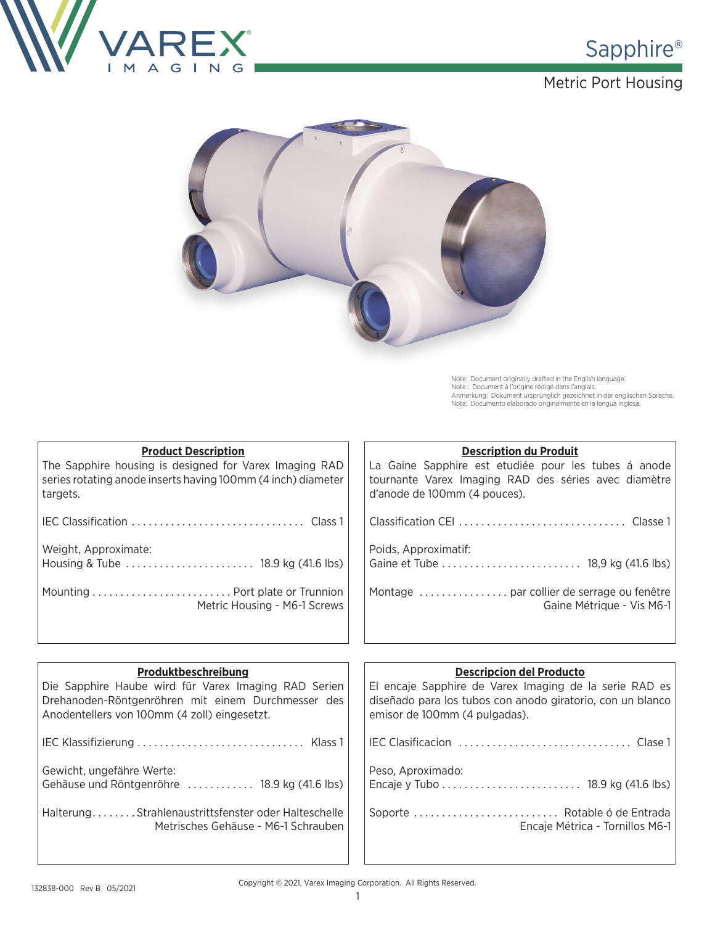

### Metric Port Housing



Note: Document originally drafted in the English language.<br>Note : Document à l'origine rédigé dans l'anglais.<br>Anmerkung: Dokument ursprünglich gezeichnet in der englischen Sprache.<br>Nota: Documento elaborado originalmente e

| <b>Product Description</b>                                   | <b>Description du Produit</b>                        |
|--------------------------------------------------------------|------------------------------------------------------|
| The Sapphire housing is designed for Varex Imaging RAD       | La Gaine Sapphire est etudiée pour les tubes á anode |
| series rotating anode inserts having 100mm (4 inch) diameter | tournante Varex Imaging RAD des séries avec diamètre |
| targets.                                                     | d'anode de 100mm (4 pouces).                         |
|                                                              |                                                      |
| Weight, Approximate:                                         | Poids, Approximatif:                                 |
|                                                              |                                                      |
| Mounting  Port plate or Trunnion                             |                                                      |
| Metric Housing - M6-1 Screws                                 | Gaine Métrique - Vis M6-1                            |

| Produktbeschreibung<br>Die Sapphire Haube wird für Varex Imaging RAD Serien<br>Drehanoden-Röntgenröhren mit einem Durchmesser des<br>Anodentellers von 100mm (4 zoll) eingesetzt. | <b>Descripcion del Producto</b><br>El encaje Sapphire de Varex Imaging de la serie RAD es<br>diseñado para los tubos con anodo giratorio, con un blanco<br>emisor de 100mm (4 pulgadas). |
|-----------------------------------------------------------------------------------------------------------------------------------------------------------------------------------|------------------------------------------------------------------------------------------------------------------------------------------------------------------------------------------|
|                                                                                                                                                                                   |                                                                                                                                                                                          |
| Gewicht, ungefähre Werte:<br>Gehäuse und Röntgenröhre  18.9 kg (41.6 lbs)                                                                                                         | Peso, Aproximado:                                                                                                                                                                        |
| HalterungStrahlenaustrittsfenster oder Halteschelle<br>Metrisches Gehäuse - M6-1 Schrauben                                                                                        | Soporte  Rotable ó de Entrada<br>Encaje Métrica - Tornillos M6-1                                                                                                                         |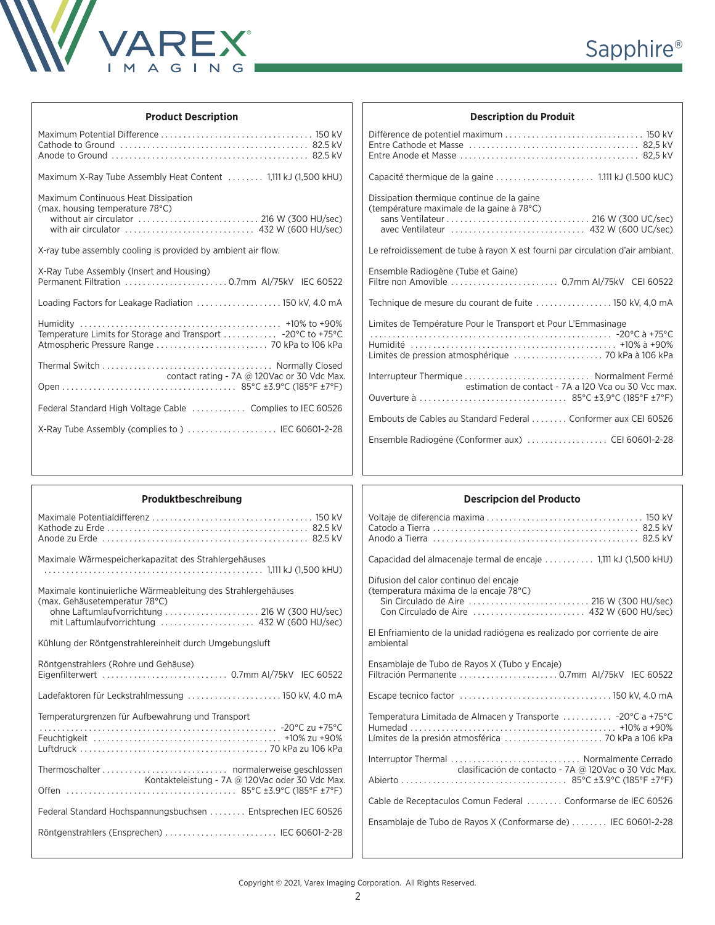

| Sapphire <sup>®</sup> |
|-----------------------|
|                       |

| <b>Product Description</b>                                                                                                                                                   |  |  |  |  |
|------------------------------------------------------------------------------------------------------------------------------------------------------------------------------|--|--|--|--|
|                                                                                                                                                                              |  |  |  |  |
| Maximum X-Ray Tube Assembly Heat Content  1,111 kJ (1,500 kHU)                                                                                                               |  |  |  |  |
| Maximum Continuous Heat Dissipation<br>(max. housing temperature 78°C)<br>without air circulator $\ldots, \ldots, \ldots, \ldots, \ldots, \ldots, \ldots$ 216 W (300 HU/sec) |  |  |  |  |
| X-ray tube assembly cooling is provided by ambient air flow.                                                                                                                 |  |  |  |  |
| X-Ray Tube Assembly (Insert and Housing)<br>Permanent Filtration  0.7mm AI/75kV IEC 60522                                                                                    |  |  |  |  |
| Loading Factors for Leakage Radiation  150 kV, 4.0 mA                                                                                                                        |  |  |  |  |
|                                                                                                                                                                              |  |  |  |  |
| contact rating - 7A @ 120Vac or 30 Vdc Max.                                                                                                                                  |  |  |  |  |
|                                                                                                                                                                              |  |  |  |  |
| Federal Standard High Voltage Cable  Complies to IEC 60526                                                                                                                   |  |  |  |  |
| X-Ray Tube Assembly (complies to)  IEC 60601-2-28                                                                                                                            |  |  |  |  |

| <b>Description du Produit</b>                                                                   |
|-------------------------------------------------------------------------------------------------|
|                                                                                                 |
|                                                                                                 |
| Dissipation thermique continue de la gaine<br>(température maximale de la gaine à 78°C)         |
| Le refroidissement de tube à rayon X est fourni par circulation d'air ambiant.                  |
| Ensemble Radiogène (Tube et Gaine)<br>Filtre non Amovible  0.7mm AI/75kV CEI 60522              |
| Technique de mesure du courant de fuite  150 kV, 4,0 mA                                         |
| Limites de Température Pour le Transport et Pour L'Emmasinage                                   |
| Interrupteur Thermique  Normalment Fermé<br>estimation de contact - 7A a 120 Vca ou 30 Vcc max. |
| Embouts de Cables au Standard Federal Conformer aux CEI 60526                                   |
| Ensemble Radiogéne (Conformer aux)  CEI 60601-2-28                                              |

| Produktbeschreibung<br><b>Descripcion del Producto</b><br>Maximale Wärmespeicherkapazitat des Strahlergehäuses<br>Difusion del calor continuo del encaje<br>Maximale kontinuierliche Wärmeableitung des Strahlergehäuses<br>(temperatura máxima de la encaje 78°C)<br>(max. Gehäusetemperatur 78°C)<br>ohne Laftumlaufvorrichtung  216 W (300 HU/sec)<br>El Enfriamiento de la unidad radiógena es realizado por corriente de aire<br>Kühlung der Röntgenstrahlereinheit durch Umgebungsluft<br>ambiental<br>Röntgenstrahlers (Rohre und Gehäuse)<br>Ensamblaje de Tubo de Rayos X (Tubo y Encaje)<br>Ladefaktoren für Leckstrahlmessung  150 kV, 4.0 mA<br>Temperaturgrenzen für Aufbewahrung und Transport<br>Kontakteleistung - 7A @ 120Vac oder 30 Vdc Max.<br>Federal Standard Hochspannungsbuchsen  Entsprechen IEC 60526 |                                               |                                                                                                                                                                                                                                                                                                                                                                        |
|---------------------------------------------------------------------------------------------------------------------------------------------------------------------------------------------------------------------------------------------------------------------------------------------------------------------------------------------------------------------------------------------------------------------------------------------------------------------------------------------------------------------------------------------------------------------------------------------------------------------------------------------------------------------------------------------------------------------------------------------------------------------------------------------------------------------------------|-----------------------------------------------|------------------------------------------------------------------------------------------------------------------------------------------------------------------------------------------------------------------------------------------------------------------------------------------------------------------------------------------------------------------------|
|                                                                                                                                                                                                                                                                                                                                                                                                                                                                                                                                                                                                                                                                                                                                                                                                                                 |                                               |                                                                                                                                                                                                                                                                                                                                                                        |
|                                                                                                                                                                                                                                                                                                                                                                                                                                                                                                                                                                                                                                                                                                                                                                                                                                 |                                               |                                                                                                                                                                                                                                                                                                                                                                        |
|                                                                                                                                                                                                                                                                                                                                                                                                                                                                                                                                                                                                                                                                                                                                                                                                                                 | Röntgenstrahlers (Ensprechen)  IEC 60601-2-28 | Capacidad del almacenaje termal de encaje  1,111 kJ (1,500 kHU)<br>Temperatura Limitada de Almacen y Transporte  -20°C a +75°C<br>Interruptor Thermal  Normalmente Cerrado<br>clasificación de contacto - 7A @ 120Vac o 30 Vdc Max.<br>Cable de Receptaculos Comun Federal  Conformarse de IEC 60526<br>Ensamblaje de Tubo de Rayos X (Conformarse de)  IEC 60601-2-28 |
|                                                                                                                                                                                                                                                                                                                                                                                                                                                                                                                                                                                                                                                                                                                                                                                                                                 |                                               |                                                                                                                                                                                                                                                                                                                                                                        |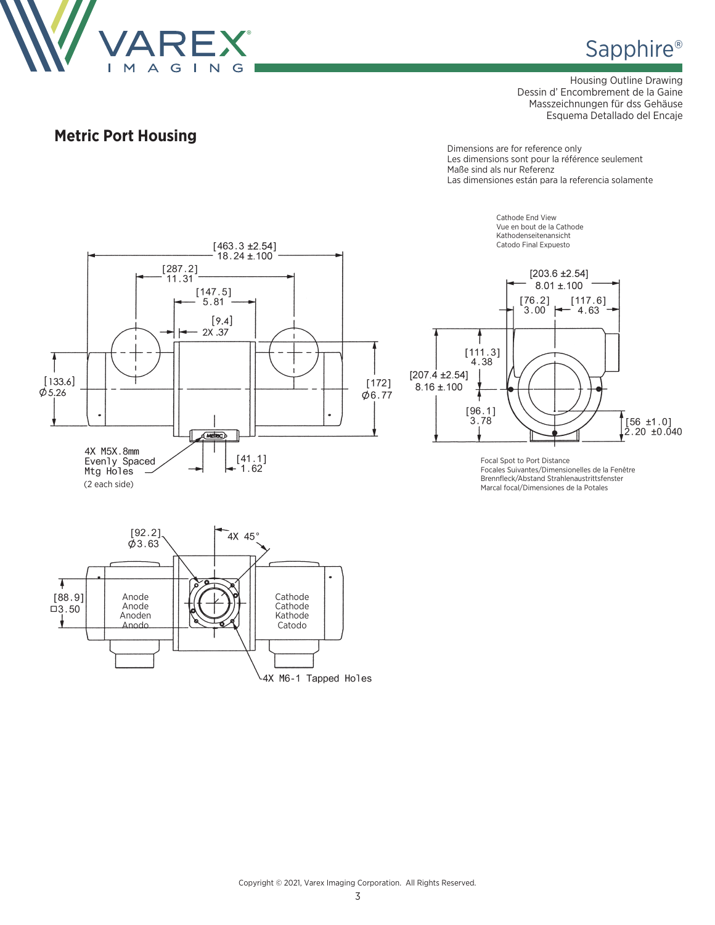

Housing Outline Drawing Dessin d' Encombrement de la Gaine Masszeichnungen für dss Gehäuse Esquema Detallado del Encaje

### **Metric Port Housing**

Dimensions are for reference only Les dimensions sont pour la référence seulement Maße sind als nur Referenz Las dimensiones están para la referencia solamente





Focal Spot to Port Distance Focales Suivantes/Dimensionelles de la Fenêtre Brennfleck/Abstand Strahlenaustrittsfenster Marcal focal/Dimensiones de la Potales



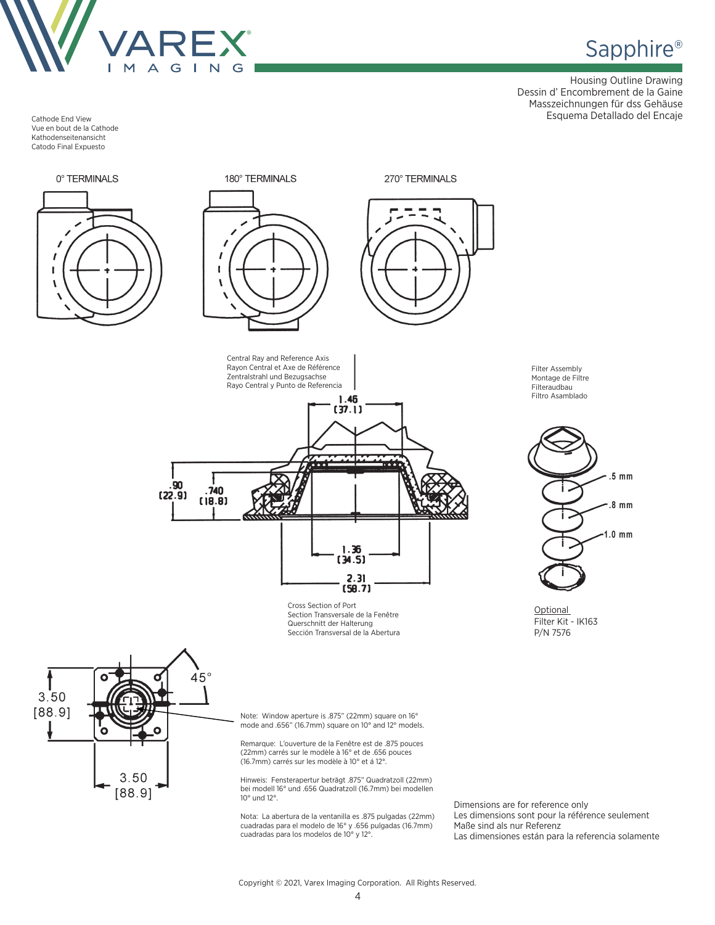

Housing Outline Drawing Dessin d' Encombrement de la Gaine Masszeichnungen für dss Gehäuse Esquema Detallado del Encaje

Cathode End View Vue en bout de la Cathode Kathodenseitenansicht Catodo Final Expuesto

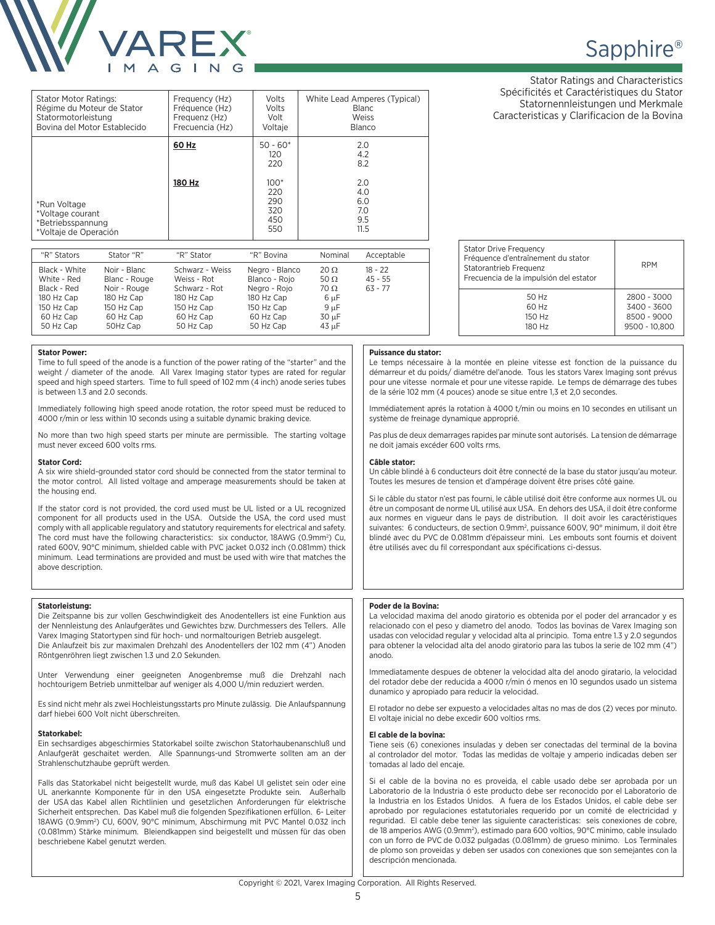

| <b>Stator Motor Ratings:</b>                                                   | Frequency (Hz)         | Volts                                                                 | White Lead Amperes (Typical)                                 |
|--------------------------------------------------------------------------------|------------------------|-----------------------------------------------------------------------|--------------------------------------------------------------|
| Régime du Moteur de Stator                                                     | Fréquence (Hz)         | Volts                                                                 | Blanc                                                        |
| Statormotorleistung                                                            | Frequenz (Hz)          | Volt                                                                  | Weiss                                                        |
| Bovina del Motor Establecido                                                   | Frecuencia (Hz)        | Voltaje                                                               | <b>Blanco</b>                                                |
| *Run Voltage<br>*Voltage courant<br>*Betriebsspannung<br>*Voltaje de Operación | 60 Hz<br><b>180 Hz</b> | $50 - 60*$<br>120<br>220<br>$100*$<br>220<br>290<br>320<br>450<br>550 | 2.0<br>4.2<br>8.2<br>2.0<br>4.0<br>6.0<br>7.0<br>9.5<br>11.5 |

| "R" Stators                  | Stator "R"                    | "R" Stator                     | "R" Bovina                      | Nominal                    | Acceptable             |
|------------------------------|-------------------------------|--------------------------------|---------------------------------|----------------------------|------------------------|
| Black - White<br>White - Red | Noir - Blanc<br>Blanc - Rouge | Schwarz - Weiss<br>Weiss - Rot | Negro - Blanco<br>Blanco - Rojo | $20 \Omega$<br>50 $\Omega$ | $18 - 22$<br>$45 - 55$ |
| Black - Red<br>180 Hz Cap    | Noir - Rouge<br>180 Hz Cap    | Schwarz - Rot<br>180 Hz Cap    | Negro - Rojo<br>180 Hz Cap      | 70 Ω<br>6 µF               | $63 - 77$              |
| 150 Hz Cap                   | 150 Hz Cap                    | 150 Hz Cap                     | 150 Hz Cap                      | $9 \mu F$                  |                        |
| 60 Hz Cap                    | 60 Hz Cap                     | 60 Hz Cap                      | 60 Hz Cap                       | 30 uF                      |                        |
| 50 Hz Cap                    | 50Hz Cap                      | 50 Hz Cap                      | 50 Hz Cap                       | 43 µF                      |                        |

# Sapphire<sup>®</sup>

Stator Ratings and Characteristics Spécificités et Caractéristiques du Stator Statornennleistungen und Merkmale Caracteristicas y Clarificacion de la Bovina

| <b>Stator Drive Frequency</b><br>Fréquence d'entraînement du stator<br>Statorantrieb Frequenz<br>Frecuencia de la impulsión del estator | <b>RPM</b>                                                 |
|-----------------------------------------------------------------------------------------------------------------------------------------|------------------------------------------------------------|
| 50 Hz<br>60 Hz<br>150 Hz<br>180 Hz                                                                                                      | 2800 - 3000<br>3400 - 3600<br>8500 - 9000<br>9500 - 10.800 |

#### **Puissance du stator:**

Le temps nécessaire à la montée en pleine vitesse est fonction de la puissance du démarreur et du poids/ diamétre del'anode. Tous les stators Varex Imaging sont prévus pour une vitesse normale et pour une vitesse rapide. Le temps de démarrage des tubes de la série 102 mm (4 pouces) anode se situe entre 1,3 et 2,0 secondes.

Immédiatement aprés la rotation à 4000 t/min ou moins en 10 secondes en utilisant un système de freinage dynamique approprié.

Pas plus de deux demarrages rapides par minute sont autorisés. La tension de démarrage ne doit jamais excéder 600 volts rms.

#### **Câble stator:**

Un câble blindé à 6 conducteurs doit être connecté de la base du stator jusqu'au moteur. Toutes les mesures de tension et d'ampérage doivent être prises côté gaine.

Si le câble du stator n'est pas fourni, le câble utilisé doit être conforme aux normes UL ou être un composant de norme UL utilisé aux USA. En dehors des USA, il doit être conforme aux normes en vigueur dans le pays de distribution. II doit avoir les caractéristiques suivantes: 6 conducteurs, de section 0.9mm2 , puissance 600V, 90° minimum, il doit être blindé avec du PVC de 0.081mm d'épaisseur mini. Les embouts sont fournis et doivent être utilisés avec du fil correspondant aux spécifications ci-dessus.

#### **Poder de la Bovina:**

La velocidad maxima del anodo giratorio es obtenida por el poder del arrancador y es relacionado con el peso y diametro del anodo. Todos las bovinas de Varex Imaging son usadas con velocidad regular y velocidad alta al principio. Toma entre 1.3 y 2.0 segundos para obtener la velocidad alta del anodo giratorio para las tubos la serie de 102 mm (4") anodo.

Immediatamente despues de obtener la velocidad alta del anodo giratario, la velocidad del rotador debe der reducida a 4000 r/min ó menos en 10 segundos usado un sistema dunamico y apropiado para reducir la velocidad.

El rotador no debe ser expuesto a velocidades altas no mas de dos (2) veces por minuto. El voltaje inicial no debe excedir 600 voltios rms.

#### **El cable de la bovina:**

Tiene seis (6) conexiones insuladas y deben ser conectadas del terminal de la bovina al controlador del motor. Todas las medidas de voltaje y amperio indicadas deben ser tomadas al lado del encaje.

Si el cable de la bovina no es proveida, el cable usado debe ser aprobada por un Laboratorio de la Industria ó este producto debe ser reconocido por el Laboratorio de la Industria en los Estados Unidos. A fuera de los Estados Unidos, el cable debe ser aprobado por regulaciones estatutoriales requerido por un comité de electricidad y reguridad. El cable debe tener las siguiente caracteristicas: seis conexiones de cobre, de 18 amperios AWG (0.9mm<sup>2</sup>), estimado para 600 voltios, 90°C minimo, cable insulado con un forro de PVC de 0.032 pulgadas (0.081mm) de grueso minimo. Los Terminales de plomo son proveidas y deben ser usados con conexiones que son semejantes con la descripción mencionada.

#### Copyright © 2021, Varex Imaging Corporation. All Rights Reserved.

**Stator Power:** 

Time to full speed of the anode is a function of the power rating of the "starter" and the weight / diameter of the anode. All Varex Imaging stator types are rated for regular speed and high speed starters. Time to full speed of 102 mm (4 inch) anode series tubes is between 1.3 and 2.0 seconds.

Immediately following high speed anode rotation, the rotor speed must be reduced to 4000 r/min or less within 10 seconds using a suitable dynamic braking device.

No more than two high speed starts per minute are permissible. The starting voltage must never exceed 600 volts rms.

#### **Stator Cord:**

A six wire shield-grounded stator cord should be connected from the stator terminal to the motor control. All listed voltage and amperage measurements should be taken at the housing end.

If the stator cord is not provided, the cord used must be UL listed or a UL recognized component for all products used in the USA. Outside the USA, the cord used must comply with all applicable regulatory and statutory requirements for electrical and safety. The cord must have the following characteristics: six conductor, 18AWG (0.9mm<sup>2</sup>) Cu, rated 600V, 90°C minimum, shielded cable with PVC jacket 0.032 inch (0.081mm) thick minimum. Lead terminations are provided and must be used with wire that matches the above description.

#### **Statorleistung:**

Die Zeitspanne bis zur vollen Geschwindigkeit des Anodentellers ist eine Funktion aus der Nennleistung des Anlaufgerätes und Gewichtes bzw. Durchmessers des Tellers. Alle Varex Imaging Statortypen sind für hoch- und normaltourigen Betrieb ausgelegt. Die Anlaufzeit bis zur maximalen Drehzahl des Anodentellers der 102 mm (4") Anoden Röntgenröhren liegt zwischen 1.3 und 2.0 Sekunden.

Unter Verwendung einer geeigneten Anogenbremse muß die Drehzahl nach hochtourigem Betrieb unmittelbar auf weniger als 4,000 U/min reduziert werden.

Es sind nicht mehr als zwei Hochleistungsstarts pro Minute zulässig. Die Anlaufspannung darf hiebei 600 Volt nicht überschreiten.

#### **Statorkabel:**

Ein sechsardiges abgeschirmies Statorkabel soilte zwischon Statorhaubenanschluß und Anlaufgerät geschaitet werden. Alle Spannungs-und Stromwerte sollten am an der Strahlenschutzhaube geprüft werden.

Falls das Statorkabel nicht beigestellt wurde, muß das Kabel Ul gelistet sein oder eine UL anerkannte Komponente für in den USA eingesetzte Produkte sein. Außerhalb der USA das Kabel allen Richtlinien und gesetzlichen Anforderungen für elektrische Sicherheit entsprechen. Das Kabel muß die folgenden Spezifikationen erfüllon. 6- Leiter 18AWG (0.9mm2 ) CU, 600V, 90°C minimum, Abschirmung mit PVC Mantel 0.032 inch (0.081mm) Stärke minimum. Bleiendkappen sind beigestellt und müssen für das oben beschriebene Kabel genutzt werden.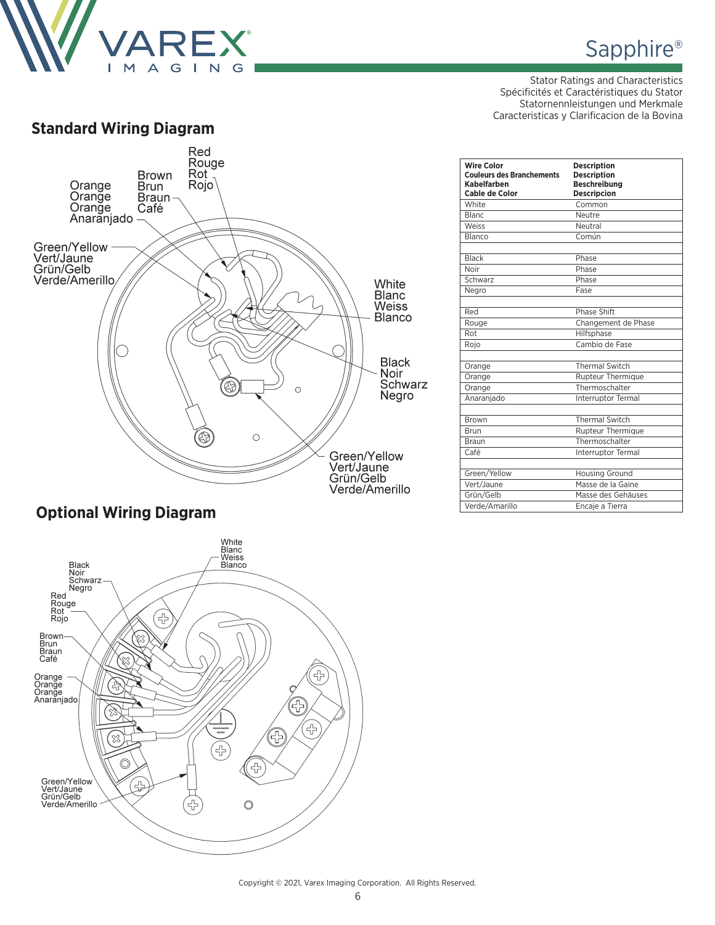

## Sapphire<sup>®</sup>

Stator Ratings and Characteristics Spécificités et Caractéristiques du Stator Statornennleistungen und Merkmale Caracteristicas y Clarificacion de la Bovina



### **Optional Wiring Diagram**



| White<br>Common<br><b>Blanc</b><br>Neutre<br>Weiss<br>Neutral<br>Común<br>Blanco<br><b>Black</b><br>Phase<br>Noir<br>Phase<br>Phase<br>Schwarz<br>Fase<br>Negro<br><b>Phase Shift</b><br>Red<br>Changement de Phase<br>Rouge<br>Hilfsphase<br>Rot<br>Cambio de Fase<br>Roio<br><b>Thermal Switch</b><br>Orange<br>Rupteur Thermique<br>Orange<br>Thermoschalter<br>Orange<br>Anaranjado<br>Interruptor Termal<br><b>Thermal Switch</b><br><b>Brown</b><br>Rupteur Thermique<br>Brun<br>Thermoschalter<br><b>Braun</b><br>Café<br>Interruptor Termal<br>Green/Yellow<br><b>Housing Ground</b><br>Vert/Jaune<br>Masse de la Gaine<br>Grün/Gelb<br>Masse des Gehäuses<br>Verde/Amarillo<br>Encaje a Tierra | <b>Wire Color</b><br><b>Couleurs des Branchements</b><br>Kabelfarben<br>Cable de Color | <b>Description</b><br><b>Description</b><br><b>Beschreibung</b><br><b>Descripcion</b> |
|---------------------------------------------------------------------------------------------------------------------------------------------------------------------------------------------------------------------------------------------------------------------------------------------------------------------------------------------------------------------------------------------------------------------------------------------------------------------------------------------------------------------------------------------------------------------------------------------------------------------------------------------------------------------------------------------------------|----------------------------------------------------------------------------------------|---------------------------------------------------------------------------------------|
|                                                                                                                                                                                                                                                                                                                                                                                                                                                                                                                                                                                                                                                                                                         |                                                                                        |                                                                                       |
|                                                                                                                                                                                                                                                                                                                                                                                                                                                                                                                                                                                                                                                                                                         |                                                                                        |                                                                                       |
|                                                                                                                                                                                                                                                                                                                                                                                                                                                                                                                                                                                                                                                                                                         |                                                                                        |                                                                                       |
|                                                                                                                                                                                                                                                                                                                                                                                                                                                                                                                                                                                                                                                                                                         |                                                                                        |                                                                                       |
|                                                                                                                                                                                                                                                                                                                                                                                                                                                                                                                                                                                                                                                                                                         |                                                                                        |                                                                                       |
|                                                                                                                                                                                                                                                                                                                                                                                                                                                                                                                                                                                                                                                                                                         |                                                                                        |                                                                                       |
|                                                                                                                                                                                                                                                                                                                                                                                                                                                                                                                                                                                                                                                                                                         |                                                                                        |                                                                                       |
|                                                                                                                                                                                                                                                                                                                                                                                                                                                                                                                                                                                                                                                                                                         |                                                                                        |                                                                                       |
|                                                                                                                                                                                                                                                                                                                                                                                                                                                                                                                                                                                                                                                                                                         |                                                                                        |                                                                                       |
|                                                                                                                                                                                                                                                                                                                                                                                                                                                                                                                                                                                                                                                                                                         |                                                                                        |                                                                                       |
|                                                                                                                                                                                                                                                                                                                                                                                                                                                                                                                                                                                                                                                                                                         |                                                                                        |                                                                                       |
|                                                                                                                                                                                                                                                                                                                                                                                                                                                                                                                                                                                                                                                                                                         |                                                                                        |                                                                                       |
|                                                                                                                                                                                                                                                                                                                                                                                                                                                                                                                                                                                                                                                                                                         |                                                                                        |                                                                                       |
|                                                                                                                                                                                                                                                                                                                                                                                                                                                                                                                                                                                                                                                                                                         |                                                                                        |                                                                                       |
|                                                                                                                                                                                                                                                                                                                                                                                                                                                                                                                                                                                                                                                                                                         |                                                                                        |                                                                                       |
|                                                                                                                                                                                                                                                                                                                                                                                                                                                                                                                                                                                                                                                                                                         |                                                                                        |                                                                                       |
|                                                                                                                                                                                                                                                                                                                                                                                                                                                                                                                                                                                                                                                                                                         |                                                                                        |                                                                                       |
|                                                                                                                                                                                                                                                                                                                                                                                                                                                                                                                                                                                                                                                                                                         |                                                                                        |                                                                                       |
|                                                                                                                                                                                                                                                                                                                                                                                                                                                                                                                                                                                                                                                                                                         |                                                                                        |                                                                                       |
|                                                                                                                                                                                                                                                                                                                                                                                                                                                                                                                                                                                                                                                                                                         |                                                                                        |                                                                                       |
|                                                                                                                                                                                                                                                                                                                                                                                                                                                                                                                                                                                                                                                                                                         |                                                                                        |                                                                                       |
|                                                                                                                                                                                                                                                                                                                                                                                                                                                                                                                                                                                                                                                                                                         |                                                                                        |                                                                                       |
|                                                                                                                                                                                                                                                                                                                                                                                                                                                                                                                                                                                                                                                                                                         |                                                                                        |                                                                                       |
|                                                                                                                                                                                                                                                                                                                                                                                                                                                                                                                                                                                                                                                                                                         |                                                                                        |                                                                                       |

#### Copyright © 2021, Varex Imaging Corporation. All Rights Reserved.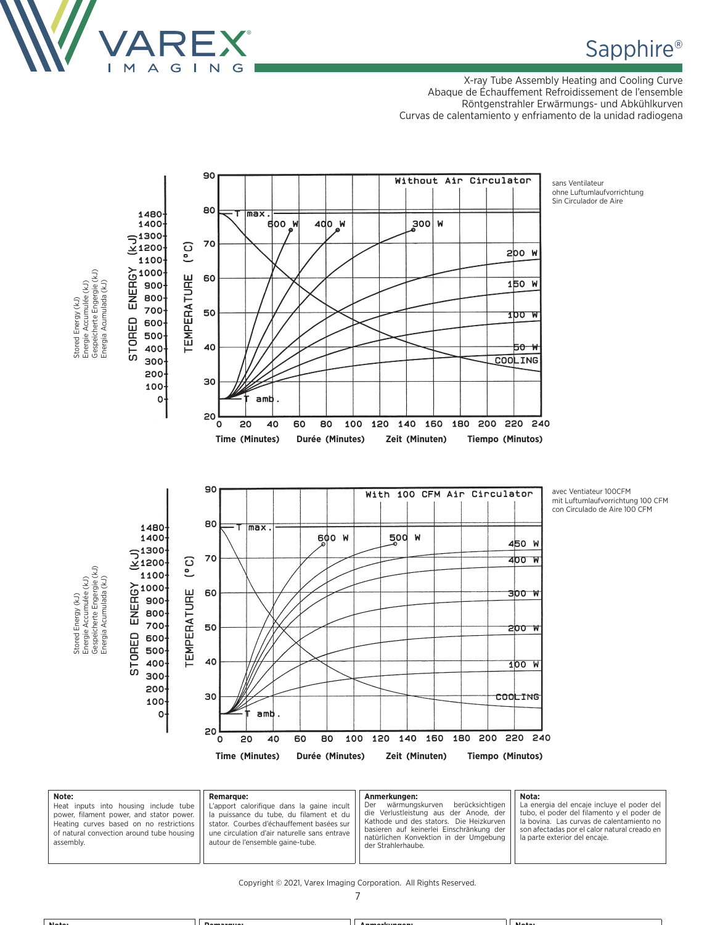

X-ray Tube Assembly Heating and Cooling Curve Abaque de Échauffement Refroidissement de l'ensemble Röntgenstrahler Erwärmungs- und Abkühlkurven Curvas de calentamiento y enfriamento de la unidad radiogena



| Note:<br>Heat inputs into housing include tube<br>power, filament power, and stator power.<br>Heating curves based on no restrictions<br>of natural convection around tube housing<br>assembly. | <b>Remarque:</b><br>L'apport calorifique dans la gaine incult<br>la puissance du tube, du filament et du<br>stator. Courbes d'échauffement basées sur<br>une circulation d'air naturelle sans entrave<br>autour de l'ensemble gaine-tube. | Anmerkungen:<br>berücksichtigen<br>wärmungskurven<br>Der<br>die Verlustleistung aus der Anode, der<br>Kathode und des stators. Die Heizkurven<br>basieren auf keinerlei Einschränkung der<br>natürlichen Konvektion in der Umgebung<br>der Strahlerhaube. | Nota:<br>La energia del encaje incluye el poder del<br>tubo, el poder del filamento y el poder de<br>la bovina. Las curvas de calentamiento no<br>son afectadas por el calor natural creado en<br>la parte exterior del encaje. |
|-------------------------------------------------------------------------------------------------------------------------------------------------------------------------------------------------|-------------------------------------------------------------------------------------------------------------------------------------------------------------------------------------------------------------------------------------------|-----------------------------------------------------------------------------------------------------------------------------------------------------------------------------------------------------------------------------------------------------------|---------------------------------------------------------------------------------------------------------------------------------------------------------------------------------------------------------------------------------|
|-------------------------------------------------------------------------------------------------------------------------------------------------------------------------------------------------|-------------------------------------------------------------------------------------------------------------------------------------------------------------------------------------------------------------------------------------------|-----------------------------------------------------------------------------------------------------------------------------------------------------------------------------------------------------------------------------------------------------------|---------------------------------------------------------------------------------------------------------------------------------------------------------------------------------------------------------------------------------|

#### Copyright © 2021, Varex Imaging Corporation. All Rights Reserved.

7